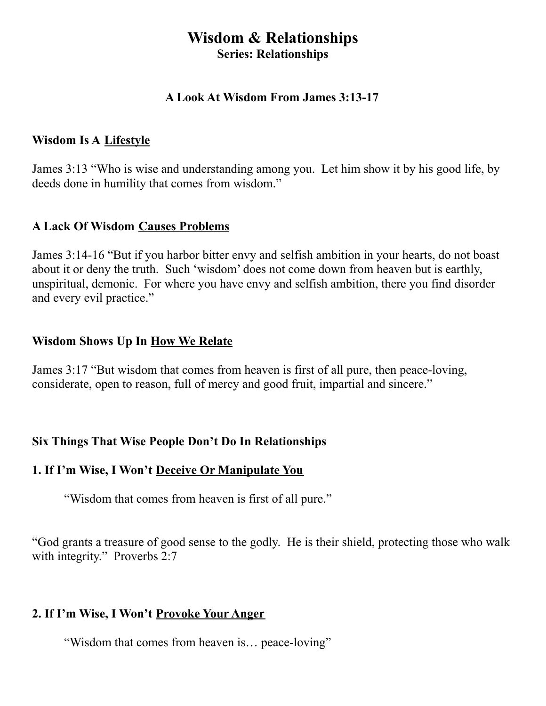# **Wisdom & Relationships Series: Relationships**

### **A Look At Wisdom From James 3:13-17**

#### **Wisdom Is A Lifestyle**

James 3:13 "Who is wise and understanding among you. Let him show it by his good life, by deeds done in humility that comes from wisdom."

### **A Lack Of Wisdom Causes Problems**

James 3:14-16 "But if you harbor bitter envy and selfish ambition in your hearts, do not boast about it or deny the truth. Such 'wisdom' does not come down from heaven but is earthly, unspiritual, demonic. For where you have envy and selfish ambition, there you find disorder and every evil practice."

## **Wisdom Shows Up In How We Relate**

James 3:17 "But wisdom that comes from heaven is first of all pure, then peace-loving, considerate, open to reason, full of mercy and good fruit, impartial and sincere."

## **Six Things That Wise People Don't Do In Relationships**

## **1. If I'm Wise, I Won't Deceive Or Manipulate You**

"Wisdom that comes from heaven is first of all pure."

"God grants a treasure of good sense to the godly. He is their shield, protecting those who walk with integrity." Proverbs 2:7

## **2. If I'm Wise, I Won't Provoke Your Anger**

"Wisdom that comes from heaven is… peace-loving"